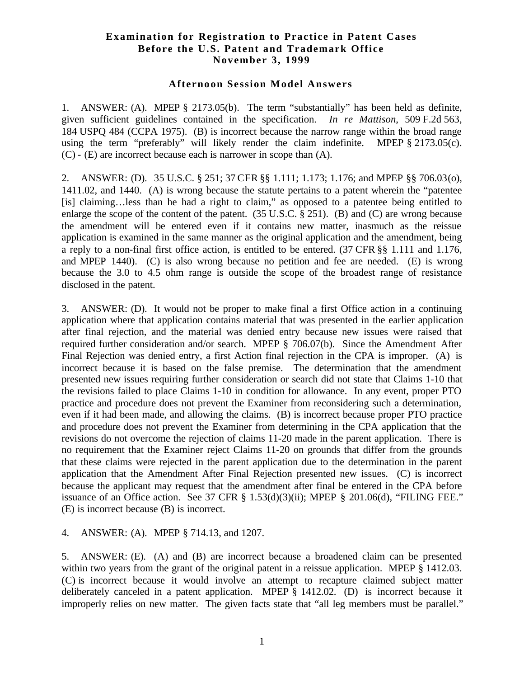## **Examination for Registration to Practice in Patent Cases Before the U.S. Patent and Trademark Office November 3, 1999**

## **Afternoon Session Model Answers**

1. ANSWER: (A). MPEP § 2173.05(b). The term "substantially" has been held as definite, given sufficient guidelines contained in the specification. *In re Mattison*, 509 F.2d 563, 184 USPQ 484 (CCPA 1975). (B) is incorrect because the narrow range within the broad range using the term "preferably" will likely render the claim indefinite. MPEP § 2173.05(c). (C) - (E) are incorrect because each is narrower in scope than (A).

2. ANSWER: (D). 35 U.S.C. § 251; 37 CFR §§ 1.111; 1.173; 1.176; and MPEP §§ 706.03(o), 1411.02, and 1440. (A) is wrong because the statute pertains to a patent wherein the "patentee [is] claiming…less than he had a right to claim," as opposed to a patentee being entitled to enlarge the scope of the content of the patent.  $(35 \text{ U.S.C.} \& 251)$ . (B) and (C) are wrong because the amendment will be entered even if it contains new matter, inasmuch as the reissue application is examined in the same manner as the original application and the amendment, being a reply to a non-final first office action, is entitled to be entered. (37 CFR §§ 1.111 and 1.176, and MPEP 1440). (C) is also wrong because no petition and fee are needed. (E) is wrong because the 3.0 to 4.5 ohm range is outside the scope of the broadest range of resistance disclosed in the patent.

3. ANSWER: (D). It would not be proper to make final a first Office action in a continuing application where that application contains material that was presented in the earlier application after final rejection, and the material was denied entry because new issues were raised that required further consideration and/or search. MPEP § 706.07(b). Since the Amendment After Final Rejection was denied entry, a first Action final rejection in the CPA is improper. (A) is incorrect because it is based on the false premise. The determination that the amendment presented new issues requiring further consideration or search did not state that Claims 1-10 that the revisions failed to place Claims 1-10 in condition for allowance. In any event, proper PTO practice and procedure does not prevent the Examiner from reconsidering such a determination, even if it had been made, and allowing the claims. (B) is incorrect because proper PTO practice and procedure does not prevent the Examiner from determining in the CPA application that the revisions do not overcome the rejection of claims 11-20 made in the parent application. There is no requirement that the Examiner reject Claims 11-20 on grounds that differ from the grounds that these claims were rejected in the parent application due to the determination in the parent application that the Amendment After Final Rejection presented new issues. (C) is incorrect because the applicant may request that the amendment after final be entered in the CPA before issuance of an Office action. See 37 CFR  $\S$  1.53(d)(3)(ii); MPEP  $\S$  201.06(d), "FILING FEE." (E) is incorrect because (B) is incorrect.

## 4. ANSWER: (A). MPEP § 714.13, and 1207.

5. ANSWER: (E). (A) and (B) are incorrect because a broadened claim can be presented within two years from the grant of the original patent in a reissue application. MPEP § 1412.03. (C) is incorrect because it would involve an attempt to recapture claimed subject matter deliberately canceled in a patent application. MPEP § 1412.02. (D) is incorrect because it improperly relies on new matter. The given facts state that "all leg members must be parallel."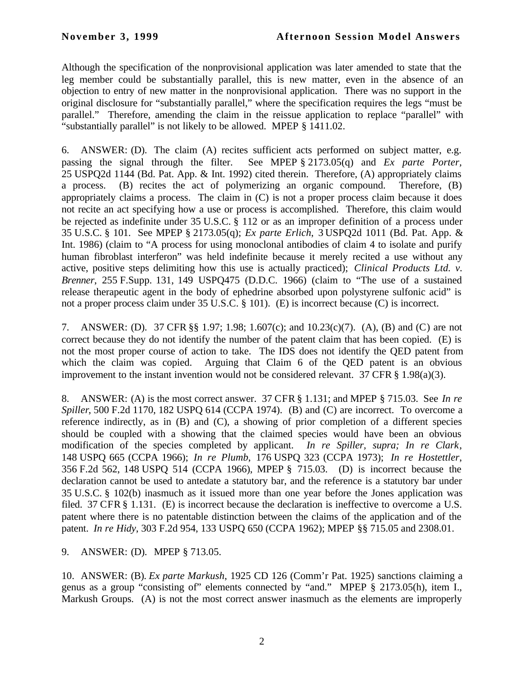Although the specification of the nonprovisional application was later amended to state that the leg member could be substantially parallel, this is new matter, even in the absence of an objection to entry of new matter in the nonprovisional application. There was no support in the original disclosure for "substantially parallel," where the specification requires the legs "must be parallel." Therefore, amending the claim in the reissue application to replace "parallel" with "substantially parallel" is not likely to be allowed. MPEP § 1411.02.

6. ANSWER: (D). The claim (A) recites sufficient acts performed on subject matter, e.g. passing the signal through the filter. See MPEP § 2173.05(q) and *Ex parte Porter,* 25 USPQ2d 1144 (Bd. Pat. App. & Int. 1992) cited therein. Therefore, (A) appropriately claims a process. (B) recites the act of polymerizing an organic compound. Therefore, (B) appropriately claims a process. The claim in (C) is not a proper process claim because it does not recite an act specifying how a use or process is accomplished. Therefore, this claim would be rejected as indefinite under 35 U.S.C. § 112 or as an improper definition of a process under 35 U.S.C. § 101. See MPEP § 2173.05(q); *Ex parte Erlich*, 3 USPQ2d 1011 (Bd. Pat. App. & Int. 1986) (claim to "A process for using monoclonal antibodies of claim 4 to isolate and purify human fibroblast interferon" was held indefinite because it merely recited a use without any active, positive steps delimiting how this use is actually practiced); *Clinical Products Ltd. v. Brenner*, 255 F.Supp. 131, 149 USPQ475 (D.D.C. 1966) (claim to "The use of a sustained release therapeutic agent in the body of ephedrine absorbed upon polystyrene sulfonic acid" is not a proper process claim under 35 U.S.C. § 101). (E) is incorrect because (C) is incorrect.

7. ANSWER: (D). 37 CFR §§ 1.97; 1.98; 1.607(c); and 10.23(c)(7). (A), (B) and (C) are not correct because they do not identify the number of the patent claim that has been copied. (E) is not the most proper course of action to take. The IDS does not identify the QED patent from which the claim was copied. Arguing that Claim 6 of the QED patent is an obvious improvement to the instant invention would not be considered relevant. 37 CFR § 1.98(a)(3).

8. ANSWER: (A) is the most correct answer. 37 CFR § 1.131; and MPEP § 715.03. See *In re Spiller*, 500 F.2d 1170, 182 USPQ 614 (CCPA 1974). (B) and (C) are incorrect. To overcome a reference indirectly, as in (B) and (C), a showing of prior completion of a different species should be coupled with a showing that the claimed species would have been an obvious modification of the species completed by applicant. *In re Spiller, supra; In re Clark*, 148 USPQ 665 (CCPA 1966); *In re Plumb*, 176 USPQ 323 (CCPA 1973); *In re Hostettler*, 356 F.2d 562, 148 USPQ 514 (CCPA 1966), MPEP § 715.03. (D) is incorrect because the declaration cannot be used to antedate a statutory bar, and the reference is a statutory bar under 35 U.S.C. § 102(b) inasmuch as it issued more than one year before the Jones application was filed. 37 CFR § 1.131. (E) is incorrect because the declaration is ineffective to overcome a U.S. patent where there is no patentable distinction between the claims of the application and of the patent. *In re Hidy*, 303 F.2d 954, 133 USPQ 650 (CCPA 1962); MPEP §§ 715.05 and 2308.01.

## 9. ANSWER: (D). MPEP § 713.05.

10. ANSWER: (B). *Ex parte Markush*, 1925 CD 126 (Comm'r Pat. 1925) sanctions claiming a genus as a group "consisting of" elements connected by "and." MPEP § 2173.05(h), item I., Markush Groups. (A) is not the most correct answer inasmuch as the elements are improperly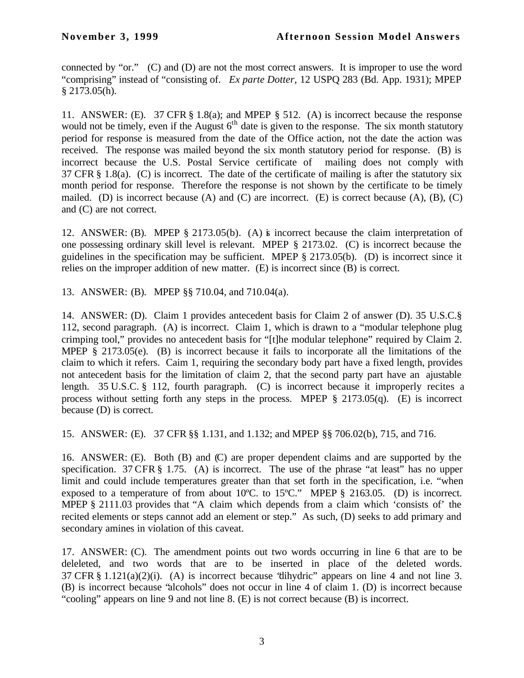connected by "or." (C) and (D) are not the most correct answers. It is improper to use the word "comprising" instead of "consisting of. *Ex parte Dotter*, 12 USPQ 283 (Bd. App. 1931); MPEP § 2173.05(h).

11. ANSWER: (E). 37 CFR § 1.8(a); and MPEP § 512. (A) is incorrect because the response would not be timely, even if the August  $6<sup>th</sup>$  date is given to the response. The six month statutory period for response is measured from the date of the Office action, not the date the action was received. The response was mailed beyond the six month statutory period for response. (B) is incorrect because the U.S. Postal Service certificate of mailing does not comply with 37 CFR § 1.8(a). (C) is incorrect. The date of the certificate of mailing is after the statutory six month period for response. Therefore the response is not shown by the certificate to be timely mailed. (D) is incorrect because (A) and (C) are incorrect. (E) is correct because (A), (B), (C) and (C) are not correct.

12. ANSWER: (B). MPEP § 2173.05(b). (A) is incorrect because the claim interpretation of one possessing ordinary skill level is relevant. MPEP § 2173.02. (C) is incorrect because the guidelines in the specification may be sufficient. MPEP § 2173.05(b). (D) is incorrect since it relies on the improper addition of new matter. (E) is incorrect since (B) is correct.

13. ANSWER: (B). MPEP §§ 710.04, and 710.04(a).

14. ANSWER: (D). Claim 1 provides antecedent basis for Claim 2 of answer (D). 35 U.S.C.§ 112, second paragraph. (A) is incorrect. Claim 1, which is drawn to a "modular telephone plug crimping tool," provides no antecedent basis for "[t]he modular telephone" required by Claim 2. MPEP  $\S$  2173.05(e). (B) is incorrect because it fails to incorporate all the limitations of the claim to which it refers. Caim 1, requiring the secondary body part have a fixed length, provides not antecedent basis for the limitation of claim 2, that the second party part have an ajustable length. 35 U.S.C. § 112, fourth paragraph. (C) is incorrect because it improperly recites a process without setting forth any steps in the process. MPEP § 2173.05(q). (E) is incorrect because (D) is correct.

15. ANSWER: (E). 37 CFR §§ 1.131, and 1.132; and MPEP §§ 706.02(b), 715, and 716.

16. ANSWER: (E). Both (B) and (C) are proper dependent claims and are supported by the specification. 37 CFR § 1.75. (A) is incorrect. The use of the phrase "at least" has no upper limit and could include temperatures greater than that set forth in the specification, i.e. "when exposed to a temperature of from about 10ºC. to 15ºC." MPEP § 2163.05. (D) is incorrect. MPEP § 2111.03 provides that "A claim which depends from a claim which 'consists of' the recited elements or steps cannot add an element or step." As such, (D) seeks to add primary and secondary amines in violation of this caveat.

17. ANSWER: (C). The amendment points out two words occurring in line 6 that are to be deleleted, and two words that are to be inserted in place of the deleted words. 37 CFR § 1.121(a)(2)(i). (A) is incorrect because "dihydric" appears on line 4 and not line 3. (B) is incorrect because "alcohols" does not occur in line 4 of claim 1. (D) is incorrect because "cooling" appears on line 9 and not line 8. (E) is not correct because (B) is incorrect.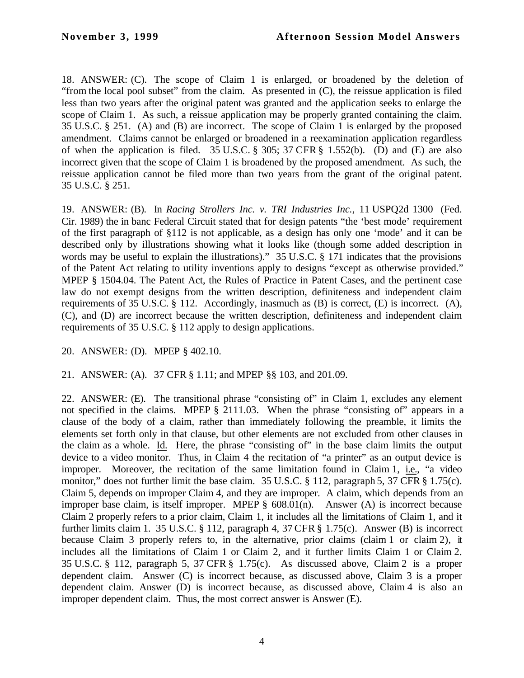18. ANSWER: (C). The scope of Claim 1 is enlarged, or broadened by the deletion of "from the local pool subset" from the claim. As presented in (C), the reissue application is filed less than two years after the original patent was granted and the application seeks to enlarge the scope of Claim 1. As such, a reissue application may be properly granted containing the claim. 35 U.S.C. § 251. (A) and (B) are incorrect. The scope of Claim 1 is enlarged by the proposed amendment. Claims cannot be enlarged or broadened in a reexamination application regardless of when the application is filed. 35 U.S.C. § 305; 37 CFR § 1.552(b). (D) and (E) are also incorrect given that the scope of Claim 1 is broadened by the proposed amendment. As such, the reissue application cannot be filed more than two years from the grant of the original patent. 35 U.S.C. § 251.

19. ANSWER: (B). In *Racing Strollers Inc. v. TRI Industries Inc.*, 11 USPQ2d 1300 (Fed. Cir. 1989) the in banc Federal Circuit stated that for design patents "the 'best mode' requirement of the first paragraph of §112 is not applicable, as a design has only one 'mode' and it can be described only by illustrations showing what it looks like (though some added description in words may be useful to explain the illustrations)." 35 U.S.C. § 171 indicates that the provisions of the Patent Act relating to utility inventions apply to designs "except as otherwise provided." MPEP § 1504.04. The Patent Act, the Rules of Practice in Patent Cases, and the pertinent case law do not exempt designs from the written description, definiteness and independent claim requirements of 35 U.S.C. § 112. Accordingly, inasmuch as (B) is correct, (E) is incorrect. (A), (C), and (D) are incorrect because the written description, definiteness and independent claim requirements of 35 U.S.C. § 112 apply to design applications.

20. ANSWER: (D). MPEP § 402.10.

21. ANSWER: (A). 37 CFR § 1.11; and MPEP §§ 103, and 201.09.

22. ANSWER: (E). The transitional phrase "consisting of" in Claim 1, excludes any element not specified in the claims. MPEP § 2111.03. When the phrase "consisting of" appears in a clause of the body of a claim, rather than immediately following the preamble, it limits the elements set forth only in that clause, but other elements are not excluded from other clauses in the claim as a whole. Id. Here, the phrase "consisting of" in the base claim limits the output device to a video monitor. Thus, in Claim 4 the recitation of "a printer" as an output device is improper. Moreover, the recitation of the same limitation found in Claim 1, i.e., "a video monitor," does not further limit the base claim. 35 U.S.C. § 112, paragraph 5, 37 CFR § 1.75(c). Claim 5, depends on improper Claim 4, and they are improper. A claim, which depends from an improper base claim, is itself improper. MPEP § 608.01(n). Answer (A) is incorrect because Claim 2 properly refers to a prior claim, Claim 1, it includes all the limitations of Claim 1, and it further limits claim 1. 35 U.S.C. § 112, paragraph 4, 37 CFR § 1.75(c). Answer (B) is incorrect because Claim 3 properly refers to, in the alternative, prior claims (claim 1 or claim 2), it includes all the limitations of Claim 1 or Claim 2, and it further limits Claim 1 or Claim 2. 35 U.S.C. § 112, paragraph 5, 37 CFR § 1.75(c). As discussed above, Claim 2 is a proper dependent claim. Answer (C) is incorrect because, as discussed above, Claim 3 is a proper dependent claim. Answer (D) is incorrect because, as discussed above, Claim 4 is also an improper dependent claim. Thus, the most correct answer is Answer (E).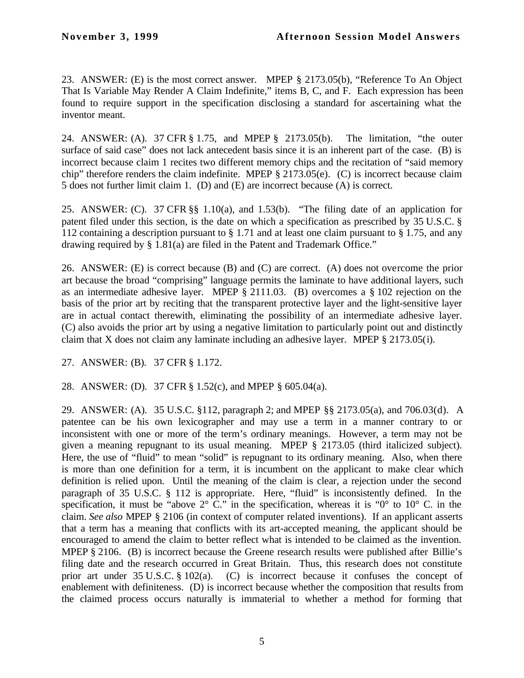23. ANSWER: (E) is the most correct answer. MPEP § 2173.05(b), "Reference To An Object That Is Variable May Render A Claim Indefinite," items B, C, and F. Each expression has been found to require support in the specification disclosing a standard for ascertaining what the inventor meant.

24. ANSWER: (A). 37 CFR § 1.75, and MPEP § 2173.05(b). The limitation, "the outer surface of said case" does not lack antecedent basis since it is an inherent part of the case. (B) is incorrect because claim 1 recites two different memory chips and the recitation of "said memory chip" therefore renders the claim indefinite. MPEP § 2173.05(e). (C) is incorrect because claim 5 does not further limit claim 1. (D) and (E) are incorrect because (A) is correct.

25. ANSWER: (C). 37 CFR §§ 1.10(a), and 1.53(b). "The filing date of an application for patent filed under this section, is the date on which a specification as prescribed by 35 U.S.C. § 112 containing a description pursuant to § 1.71 and at least one claim pursuant to § 1.75, and any drawing required by § 1.81(a) are filed in the Patent and Trademark Office."

26. ANSWER: (E) is correct because (B) and (C) are correct. (A) does not overcome the prior art because the broad "comprising" language permits the laminate to have additional layers, such as an intermediate adhesive layer. MPEP § 2111.03. (B) overcomes a § 102 rejection on the basis of the prior art by reciting that the transparent protective layer and the light-sensitive layer are in actual contact therewith, eliminating the possibility of an intermediate adhesive layer. (C) also avoids the prior art by using a negative limitation to particularly point out and distinctly claim that X does not claim any laminate including an adhesive layer. MPEP § 2173.05(i).

27. ANSWER: (B). 37 CFR § 1.172.

28. ANSWER: (D). 37 CFR § 1.52(c), and MPEP § 605.04(a).

29. ANSWER: (A). 35 U.S.C. §112, paragraph 2; and MPEP §§ 2173.05(a), and 706.03(d). A patentee can be his own lexicographer and may use a term in a manner contrary to or inconsistent with one or more of the term's ordinary meanings. However, a term may not be given a meaning repugnant to its usual meaning. MPEP § 2173.05 (third italicized subject). Here, the use of "fluid" to mean "solid" is repugnant to its ordinary meaning. Also, when there is more than one definition for a term, it is incumbent on the applicant to make clear which definition is relied upon. Until the meaning of the claim is clear, a rejection under the second paragraph of 35 U.S.C. § 112 is appropriate. Here, "fluid" is inconsistently defined. In the specification, it must be "above  $2^{\circ}$  C." in the specification, whereas it is " $0^{\circ}$  to  $10^{\circ}$  C. in the claim. *See also* MPEP § 2106 (in context of computer related inventions). If an applicant asserts that a term has a meaning that conflicts with its art-accepted meaning, the applicant should be encouraged to amend the claim to better reflect what is intended to be claimed as the invention. MPEP § 2106. (B) is incorrect because the Greene research results were published after Billie's filing date and the research occurred in Great Britain. Thus, this research does not constitute prior art under 35 U.S.C. § 102(a). (C) is incorrect because it confuses the concept of enablement with definiteness. (D) is incorrect because whether the composition that results from the claimed process occurs naturally is immaterial to whether a method for forming that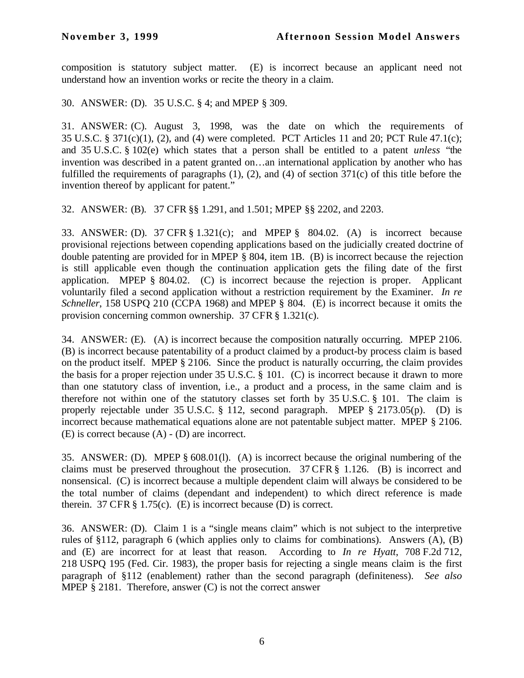composition is statutory subject matter. (E) is incorrect because an applicant need not understand how an invention works or recite the theory in a claim.

30. ANSWER: (D). 35 U.S.C. § 4; and MPEP § 309.

31. ANSWER: (C). August 3, 1998, was the date on which the requirements of 35 U.S.C. § 371(c)(1), (2), and (4) were completed. PCT Articles 11 and 20; PCT Rule 47.1(c); and 35 U.S.C. § 102(e) which states that a person shall be entitled to a patent *unless* "the invention was described in a patent granted on…an international application by another who has fulfilled the requirements of paragraphs (1), (2), and (4) of section 371(c) of this title before the invention thereof by applicant for patent."

32. ANSWER: (B). 37 CFR §§ 1.291, and 1.501; MPEP §§ 2202, and 2203.

33. ANSWER: (D). 37 CFR § 1.321(c); and MPEP § 804.02. (A) is incorrect because provisional rejections between copending applications based on the judicially created doctrine of double patenting are provided for in MPEP § 804, item 1B. (B) is incorrect because the rejection is still applicable even though the continuation application gets the filing date of the first application. MPEP § 804.02. (C) is incorrect because the rejection is proper. Applicant voluntarily filed a second application without a restriction requirement by the Examiner. *In re Schneller*, 158 USPQ 210 (CCPA 1968) and MPEP § 804. (E) is incorrect because it omits the provision concerning common ownership. 37 CFR § 1.321(c).

34. ANSWER: (E). (A) is incorrect because the composition naturally occurring. MPEP 2106. (B) is incorrect because patentability of a product claimed by a product-by process claim is based on the product itself. MPEP § 2106. Since the product is naturally occurring, the claim provides the basis for a proper rejection under 35 U.S.C. § 101. (C) is incorrect because it drawn to more than one statutory class of invention, i.e., a product and a process, in the same claim and is therefore not within one of the statutory classes set forth by 35 U.S.C. § 101. The claim is properly rejectable under 35 U.S.C. § 112, second paragraph. MPEP § 2173.05(p). (D) is incorrect because mathematical equations alone are not patentable subject matter. MPEP § 2106. (E) is correct because (A) - (D) are incorrect.

35. ANSWER: (D). MPEP § 608.01(l). (A) is incorrect because the original numbering of the claims must be preserved throughout the prosecution.  $37 \text{ CFR}$  § 1.126. (B) is incorrect and nonsensical. (C) is incorrect because a multiple dependent claim will always be considered to be the total number of claims (dependant and independent) to which direct reference is made therein.  $37 \text{ CFR} \text{ } \text{\&} 1.75(c)$ . (E) is incorrect because (D) is correct.

36. ANSWER: (D). Claim 1 is a "single means claim" which is not subject to the interpretive rules of §112, paragraph 6 (which applies only to claims for combinations). Answers (A), (B) and (E) are incorrect for at least that reason. According to *In re Hyatt*, 708 F.2d 712, 218 USPQ 195 (Fed. Cir. 1983), the proper basis for rejecting a single means claim is the first paragraph of §112 (enablement) rather than the second paragraph (definiteness). *See also* MPEP § 2181. Therefore, answer (C) is not the correct answer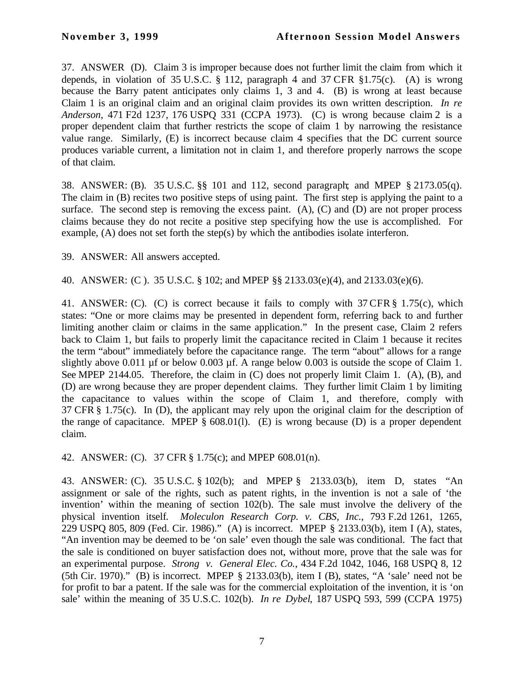37. ANSWER (D). Claim 3 is improper because does not further limit the claim from which it depends, in violation of 35 U.S.C. § 112, paragraph 4 and 37 CFR §1.75(c). (A) is wrong because the Barry patent anticipates only claims 1, 3 and 4. (B) is wrong at least because Claim 1 is an original claim and an original claim provides its own written description. *In re Anderson*, 471 F2d 1237, 176 USPQ 331 (CCPA 1973). (C) is wrong because claim 2 is a proper dependent claim that further restricts the scope of claim 1 by narrowing the resistance value range. Similarly, (E) is incorrect because claim 4 specifies that the DC current source produces variable current, a limitation not in claim 1, and therefore properly narrows the scope of that claim.

38. ANSWER: (B). 35 U.S.C. §§ 101 and 112, second paragraph; and MPEP § 2173.05(q). The claim in (B) recites two positive steps of using paint. The first step is applying the paint to a surface. The second step is removing the excess paint.  $(A)$ ,  $(C)$  and  $(D)$  are not proper process claims because they do not recite a positive step specifying how the use is accomplished. For example, (A) does not set forth the step(s) by which the antibodies isolate interferon.

39. ANSWER: All answers accepted.

40. ANSWER: (C ). 35 U.S.C. § 102; and MPEP §§ 2133.03(e)(4), and 2133.03(e)(6).

41. ANSWER: (C). (C) is correct because it fails to comply with 37 CFR § 1.75(c), which states: "One or more claims may be presented in dependent form, referring back to and further limiting another claim or claims in the same application." In the present case, Claim 2 refers back to Claim 1, but fails to properly limit the capacitance recited in Claim 1 because it recites the term "about" immediately before the capacitance range. The term "about" allows for a range slightly above 0.011 µf or below 0.003 µf. A range below 0.003 is outside the scope of Claim 1. See MPEP 2144.05. Therefore, the claim in (C) does not properly limit Claim 1. (A), (B), and (D) are wrong because they are proper dependent claims. They further limit Claim 1 by limiting the capacitance to values within the scope of Claim 1, and therefore, comply with 37 CFR § 1.75(c). In (D), the applicant may rely upon the original claim for the description of the range of capacitance. MPEP  $\S$  608.01(1). (E) is wrong because (D) is a proper dependent claim.

42. ANSWER: (C). 37 CFR § 1.75(c); and MPEP 608.01(n).

43. ANSWER: (C). 35 U.S.C. § 102(b); and MPEP § 2133.03(b), item D, states "An assignment or sale of the rights, such as patent rights, in the invention is not a sale of 'the invention' within the meaning of section 102(b). The sale must involve the delivery of the physical invention itself*. Moleculon Research Corp. v. CBS, Inc.*, 793 F.2d 1261, 1265, 229 USPQ 805, 809 (Fed. Cir. 1986)." (A) is incorrect. MPEP § 2133.03(b), item I (A), states, "An invention may be deemed to be 'on sale' even though the sale was conditional. The fact that the sale is conditioned on buyer satisfaction does not, without more, prove that the sale was for an experimental purpose. *Strong v. General Elec. Co.*, 434 F.2d 1042, 1046, 168 USPQ 8, 12 (5th Cir. 1970)." (B) is incorrect. MPEP § 2133.03(b), item I (B), states, "A 'sale' need not be for profit to bar a patent. If the sale was for the commercial exploitation of the invention, it is 'on sale' within the meaning of 35 U.S.C. 102(b). *In re Dybel*, 187 USPQ 593, 599 (CCPA 1975)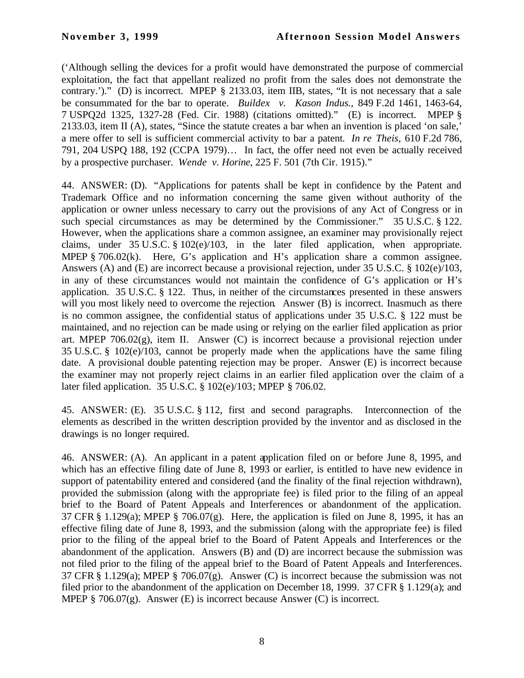('Although selling the devices for a profit would have demonstrated the purpose of commercial exploitation, the fact that appellant realized no profit from the sales does not demonstrate the contrary.')." (D) is incorrect. MPEP § 2133.03, item IIB, states, "It is not necessary that a sale be consummated for the bar to operate. *Buildex v. Kason Indus.*, 849 F.2d 1461, 1463-64, 7 USPQ2d 1325, 1327-28 (Fed. Cir. 1988) (citations omitted)." (E) is incorrect. MPEP § 2133.03, item II (A), states, "Since the statute creates a bar when an invention is placed 'on sale,' a mere offer to sell is sufficient commercial activity to bar a patent*. In re Theis*, 610 F.2d 786, 791, 204 USPQ 188, 192 (CCPA 1979)… In fact, the offer need not even be actually received by a prospective purchaser. *Wende v. Horine*, 225 F. 501 (7th Cir. 1915)."

44. ANSWER: (D). "Applications for patents shall be kept in confidence by the Patent and Trademark Office and no information concerning the same given without authority of the application or owner unless necessary to carry out the provisions of any Act of Congress or in such special circumstances as may be determined by the Commissioner." 35 U.S.C. § 122. However, when the applications share a common assignee, an examiner may provisionally reject claims, under 35 U.S.C. § 102(e)/103, in the later filed application, when appropriate. MPEP § 706.02(k). Here, G's application and H's application share a common assignee. Answers (A) and (E) are incorrect because a provisional rejection, under 35 U.S.C. § 102(e)/103, in any of these circumstances would not maintain the confidence of G's application or H's application. 35 U.S.C. § 122. Thus, in neither of the circumstances presented in these answers will you most likely need to overcome the rejection. Answer (B) is incorrect. Inasmuch as there is no common assignee, the confidential status of applications under 35 U.S.C. § 122 must be maintained, and no rejection can be made using or relying on the earlier filed application as prior art. MPEP 706.02(g), item II. Answer (C) is incorrect because a provisional rejection under 35 U.S.C. § 102(e)/103, cannot be properly made when the applications have the same filing date. A provisional double patenting rejection may be proper. Answer (E) is incorrect because the examiner may not properly reject claims in an earlier filed application over the claim of a later filed application. 35 U.S.C. § 102(e)/103; MPEP § 706.02.

45. ANSWER: (E). 35 U.S.C. § 112, first and second paragraphs. Interconnection of the elements as described in the written description provided by the inventor and as disclosed in the drawings is no longer required.

46. ANSWER: (A). An applicant in a patent application filed on or before June 8, 1995, and which has an effective filing date of June 8, 1993 or earlier, is entitled to have new evidence in support of patentability entered and considered (and the finality of the final rejection withdrawn), provided the submission (along with the appropriate fee) is filed prior to the filing of an appeal brief to the Board of Patent Appeals and Interferences or abandonment of the application. 37 CFR § 1.129(a); MPEP § 706.07(g). Here, the application is filed on June 8, 1995, it has an effective filing date of June 8, 1993, and the submission (along with the appropriate fee) is filed prior to the filing of the appeal brief to the Board of Patent Appeals and Interferences or the abandonment of the application. Answers (B) and (D) are incorrect because the submission was not filed prior to the filing of the appeal brief to the Board of Patent Appeals and Interferences. 37 CFR § 1.129(a); MPEP § 706.07(g). Answer (C) is incorrect because the submission was not filed prior to the abandonment of the application on December 18, 1999. 37 CFR § 1.129(a); and MPEP § 706.07(g). Answer (E) is incorrect because Answer (C) is incorrect.